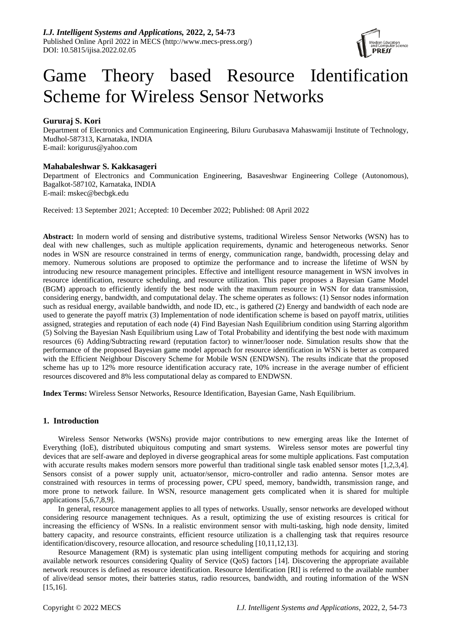

# Game Theory based Resource Identification Scheme for Wireless Sensor Networks

# **Gururaj S. Kori**

Department of Electronics and Communication Engineering, Biluru Gurubasava Mahaswamiji Institute of Technology, Mudhol-587313, Karnataka, INDIA E-mail: korigurus@yahoo.com

# **Mahabaleshwar S. Kakkasageri**

Department of Electronics and Communication Engineering, Basaveshwar Engineering College (Autonomous), Bagalkot-587102, Karnataka, INDIA E-mail: mskec@becbgk.edu

Received: 13 September 2021; Accepted: 10 December 2022; Published: 08 April 2022

**Abstract:** In modern world of sensing and distributive systems, traditional Wireless Sensor Networks (WSN) has to deal with new challenges, such as multiple application requirements, dynamic and heterogeneous networks. Senor nodes in WSN are resource constrained in terms of energy, communication range, bandwidth, processing delay and memory. Numerous solutions are proposed to optimize the performance and to increase the lifetime of WSN by introducing new resource management principles. Effective and intelligent resource management in WSN involves in resource identification, resource scheduling, and resource utilization. This paper proposes a Bayesian Game Model (BGM) approach to efficiently identify the best node with the maximum resource in WSN for data transmission, considering energy, bandwidth, and computational delay. The scheme operates as follows: (1) Sensor nodes information such as residual energy, available bandwidth, and node ID, etc., is gathered (2) Energy and bandwidth of each node are used to generate the payoff matrix (3) Implementation of node identification scheme is based on payoff matrix, utilities assigned, strategies and reputation of each node (4) Find Bayesian Nash Equilibrium condition using Starring algorithm (5) Solving the Bayesian Nash Equilibrium using Law of Total Probability and identifying the best node with maximum resources (6) Adding/Subtracting reward (reputation factor) to winner/looser node. Simulation results show that the performance of the proposed Bayesian game model approach for resource identification in WSN is better as compared with the Efficient Neighbour Discovery Scheme for Mobile WSN (ENDWSN). The results indicate that the proposed scheme has up to 12% more resource identification accuracy rate, 10% increase in the average number of efficient resources discovered and 8% less computational delay as compared to ENDWSN.

**Index Terms:** Wireless Sensor Networks, Resource Identification, Bayesian Game, Nash Equilibrium.

# **1. Introduction**

Wireless Sensor Networks (WSNs) provide major contributions to new emerging areas like the Internet of Everything (IoE), distributed ubiquitous computing and smart systems. Wireless sensor motes are powerful tiny devices that are self-aware and deployed in diverse geographical areas for some multiple applications. Fast computation with accurate results makes modern sensors more powerful than traditional single task enabled sensor motes [1,2,3,4]. Sensors consist of a power supply unit, actuator/sensor, micro-controller and radio antenna. Sensor motes are constrained with resources in terms of processing power, CPU speed, memory, bandwidth, transmission range, and more prone to network failure. In WSN, resource management gets complicated when it is shared for multiple applications [5,6,7,8,9].

In general, resource management applies to all types of networks. Usually, sensor networks are developed without considering resource management techniques. As a result, optimizing the use of existing resources is critical for increasing the efficiency of WSNs. In a realistic environment sensor with multi-tasking, high node density, limited battery capacity, and resource constraints, efficient resource utilization is a challenging task that requires resource identification/discovery, resource allocation, and resource scheduling [10,11,12,13].

Resource Management (RM) is systematic plan using intelligent computing methods for acquiring and storing available network resources considering Quality of Service (QoS) factors [14]. Discovering the appropriate available network resources is defined as resource identification. Resource Identification [RI] is referred to the available number of alive/dead sensor motes, their batteries status, radio resources, bandwidth, and routing information of the WSN [15,16].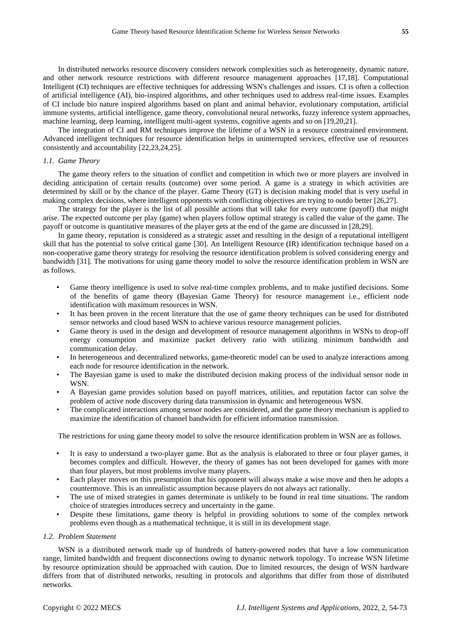In distributed networks resource discovery considers network complexities such as heterogeneity, dynamic nature, and other network resource restrictions with different resource management approaches [17,18]. Computational Intelligent (CI) techniques are effective techniques for addressing WSN's challenges and issues. CI is often a collection of artificial intelligence (AI), bio-inspired algorithms, and other techniques used to address real-time issues. Examples of CI include bio nature inspired algorithms based on plant and animal behavior, evolutionary computation, artificial immune systems, artificial intelligence, game theory, convolutional neural networks, fuzzy inference system approaches, machine learning, deep learning, intelligent multi-agent systems, cognitive agents and so on [19,20,21].

The integration of CI and RM techniques improve the lifetime of a WSN in a resource constrained environment. Advanced intelligent techniques for resource identification helps in uninterrupted services, effective use of resources consistently and accountability [22,23,24,25].

#### *1.1. Game Theory*

The game theory refers to the situation of conflict and competition in which two or more players are involved in deciding anticipation of certain results (outcome) over some period. A game is a strategy in which activities are determined by skill or by the chance of the player. Game Theory (GT) is decision making model that is very useful in making complex decisions, where intelligent opponents with conflicting objectives are trying to outdo better [26,27].

The strategy for the player is the list of all possible actions that will take for every outcome (payoff) that might arise. The expected outcome per play (game) when players follow optimal strategy is called the value of the game. The payoff or outcome is quantitative measures of the player gets at the end of the game are discussed in [28,29].

In game theory, reputation is considered as a strategic asset and resulting in the design of a reputational intelligent skill that has the potential to solve critical game [30]. An Intelligent Resource (IR) identification technique based on a non-cooperative game theory strategy for resolving the resource identification problem is solved considering energy and bandwidth [31]. The motivations for using game theory model to solve the resource identification problem in WSN are as follows.

- Game theory intelligence is used to solve real-time complex problems, and to make justified decisions. Some of the benefits of game theory (Bayesian Game Theory) for resource management i.e., efficient node identification with maximum resources in WSN.
- It has been proven in the recent literature that the use of game theory techniques can be used for distributed sensor networks and cloud based WSN to achieve various resource management policies.
- Game theory is used in the design and development of resource management algorithms in WSNs to drop-off energy consumption and maximize packet delivery ratio with utilizing minimum bandwidth and communication delay.
- In heterogeneous and decentralized networks, game-theoretic model can be used to analyze interactions among each node for resource identification in the network.
- The Bayesian game is used to make the distributed decision making process of the individual sensor node in WSN.
- A Bayesian game provides solution based on payoff matrices, utilities, and reputation factor can solve the problem of active node discovery during data transmission in dynamic and heterogeneous WSN.
- The complicated interactions among sensor nodes are considered, and the game theory mechanism is applied to maximize the identification of channel bandwidth for efficient information transmission.

The restrictions for using game theory model to solve the resource identification problem in WSN are as follows.

- It is easy to understand a two-player game. But as the analysis is elaborated to three or four player games, it becomes complex and difficult. However, the theory of games has not been developed for games with more than four players, but most problems involve many players.
- Each player moves on this presumption that his opponent will always make a wise move and then he adopts a countermove. This is an unrealistic assumption because players do not always act rationally.
- The use of mixed strategies in games determinate is unlikely to be found in real time situations. The random choice of strategies introduces secrecy and uncertainty in the game.
- Despite these limitations, game theory is helpful in providing solutions to some of the complex network problems even though as a mathematical technique, it is still in its development stage.

#### *1.2. Problem Statement*

WSN is a distributed network made up of hundreds of battery-powered nodes that have a low communication range, limited bandwidth and frequent disconnections owing to dynamic network topology. To increase WSN lifetime by resource optimization should be approached with caution. Due to limited resources, the design of WSN hardware differs from that of distributed networks, resulting in protocols and algorithms that differ from those of distributed networks.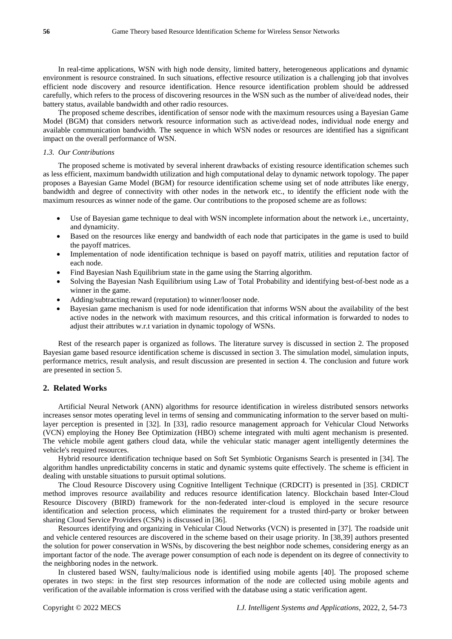In real-time applications, WSN with high node density, limited battery, heterogeneous applications and dynamic environment is resource constrained. In such situations, effective resource utilization is a challenging job that involves efficient node discovery and resource identification. Hence resource identification problem should be addressed carefully, which refers to the process of discovering resources in the WSN such as the number of alive/dead nodes, their battery status, available bandwidth and other radio resources.

The proposed scheme describes, identification of sensor node with the maximum resources using a Bayesian Game Model (BGM) that considers network resource information such as active/dead nodes, individual node energy and available communication bandwidth. The sequence in which WSN nodes or resources are identified has a significant impact on the overall performance of WSN.

#### *1.3. Our Contributions*

The proposed scheme is motivated by several inherent drawbacks of existing resource identification schemes such as less efficient, maximum bandwidth utilization and high computational delay to dynamic network topology. The paper proposes a Bayesian Game Model (BGM) for resource identification scheme using set of node attributes like energy, bandwidth and degree of connectivity with other nodes in the network etc., to identify the efficient node with the maximum resources as winner node of the game. Our contributions to the proposed scheme are as follows:

- Use of Bayesian game technique to deal with WSN incomplete information about the network i.e., uncertainty, and dynamicity.
- Based on the resources like energy and bandwidth of each node that participates in the game is used to build the payoff matrices.
- Implementation of node identification technique is based on payoff matrix, utilities and reputation factor of each node.
- Find Bayesian Nash Equilibrium state in the game using the Starring algorithm.
- Solving the Bayesian Nash Equilibrium using Law of Total Probability and identifying best-of-best node as a winner in the game.
- Adding/subtracting reward (reputation) to winner/looser node.
- Bayesian game mechanism is used for node identification that informs WSN about the availability of the best active nodes in the network with maximum resources, and this critical information is forwarded to nodes to adjust their attributes w.r.t variation in dynamic topology of WSNs.

Rest of the research paper is organized as follows. The literature survey is discussed in section 2. The proposed Bayesian game based resource identification scheme is discussed in section 3. The simulation model, simulation inputs, performance metrics, result analysis, and result discussion are presented in section 4. The conclusion and future work are presented in section 5.

# **2. Related Works**

Artificial Neural Network (ANN) algorithms for resource identification in wireless distributed sensors networks increases sensor motes operating level in terms of sensing and communicating information to the server based on multilayer perception is presented in [32]. In [33], radio resource management approach for Vehicular Cloud Networks (VCN) employing the Honey Bee Optimization (HBO) scheme integrated with multi agent mechanism is presented. The vehicle mobile agent gathers cloud data, while the vehicular static manager agent intelligently determines the vehicle's required resources.

Hybrid resource identification technique based on Soft Set Symbiotic Organisms Search is presented in [34]. The algorithm handles unpredictability concerns in static and dynamic systems quite effectively. The scheme is efficient in dealing with unstable situations to pursuit optimal solutions.

The Cloud Resource Discovery using Cognitive Intelligent Technique (CRDCIT) is presented in [35]. CRDICT method improves resource availability and reduces resource identification latency. Blockchain based Inter-Cloud Resource Discovery (BIRD) framework for the non-federated inter-cloud is employed in the secure resource identification and selection process, which eliminates the requirement for a trusted third-party or broker between sharing Cloud Service Providers (CSPs) is discussed in [36].

Resources identifying and organizing in Vehicular Cloud Networks (VCN) is presented in [37]. The roadside unit and vehicle centered resources are discovered in the scheme based on their usage priority. In [38,39] authors presented the solution for power conservation in WSNs, by discovering the best neighbor node schemes, considering energy as an important factor of the node. The average power consumption of each node is dependent on its degree of connectivity to the neighboring nodes in the network.

In clustered based WSN, faulty/malicious node is identified using mobile agents [40]. The proposed scheme operates in two steps: in the first step resources information of the node are collected using mobile agents and verification of the available information is cross verified with the database using a static verification agent.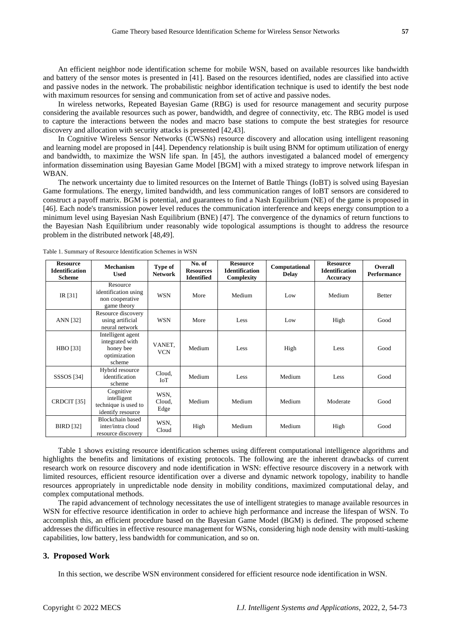An efficient neighbor node identification scheme for mobile WSN, based on available resources like bandwidth and battery of the sensor motes is presented in [41]. Based on the resources identified, nodes are classified into active and passive nodes in the network. The probabilistic neighbor identification technique is used to identify the best node with maximum resources for sensing and communication from set of active and passive nodes.

In wireless networks, Repeated Bayesian Game (RBG) is used for resource management and security purpose considering the available resources such as power, bandwidth, and degree of connectivity, etc. The RBG model is used to capture the interactions between the nodes and macro base stations to compute the best strategies for resource discovery and allocation with security attacks is presented [42,43].

In Cognitive Wireless Sensor Networks (CWSNs) resource discovery and allocation using intelligent reasoning and learning model are proposed in [44]. Dependency relationship is built using BNM for optimum utilization of energy and bandwidth, to maximize the WSN life span. In [45], the authors investigated a balanced model of emergency information dissemination using Bayesian Game Model [BGM] with a mixed strategy to improve network lifespan in WBAN.

The network uncertainty due to limited resources on the Internet of Battle Things (IoBT) is solved using Bayesian Game formulations. The energy, limited bandwidth, and less communication ranges of IoBT sensors are considered to construct a payoff matrix. BGM is potential, and guarantees to find a Nash Equilibrium (NE) of the game is proposed in [46]. Each node's transmission power level reduces the communication interference and keeps energy consumption to a minimum level using Bayesian Nash Equilibrium (BNE) [47]. The convergence of the dynamics of return functions to the Bayesian Nash Equilibrium under reasonably wide topological assumptions is thought to address the resource problem in the distributed network [48,49].

| <b>Resource</b><br><b>Identification</b><br><b>Scheme</b> | <b>Mechanism</b><br><b>Used</b>                                             | <b>Type of</b><br><b>Network</b> | No. of<br><b>Resources</b><br><b>Identified</b> | <b>Resource</b><br><b>Identification</b><br>Complexity | Computational<br><b>Delay</b> | <b>Resource</b><br><b>Identification</b><br><b>Accuracy</b> | Overall<br><b>Performance</b> |
|-----------------------------------------------------------|-----------------------------------------------------------------------------|----------------------------------|-------------------------------------------------|--------------------------------------------------------|-------------------------------|-------------------------------------------------------------|-------------------------------|
| IR $[31]$                                                 | Resource<br>identification using<br>non cooperative<br>game theory          | <b>WSN</b>                       | More                                            | Medium                                                 | Low                           | Medium                                                      | <b>Better</b>                 |
| ANN [32]                                                  | Resource discovery<br>using artificial<br>neural network                    | <b>WSN</b>                       | More                                            | Less                                                   | Low                           | High                                                        | Good                          |
| HBO [33]                                                  | Intelligent agent<br>integrated with<br>honey bee<br>optimization<br>scheme | VANET,<br><b>VCN</b>             | Medium                                          | Less                                                   | High                          | Less                                                        | Good                          |
| <b>SSSOS</b> [34]                                         | Hybrid resource<br>identification<br>scheme                                 | Cloud,<br><b>IoT</b>             | Medium                                          | Less                                                   | Medium                        | Less                                                        | Good                          |
| CRDCIT [35]                                               | Cognitive<br>intelligent<br>technique is used to<br>identify resource       | WSN.<br>Cloud,<br>Edge           | Medium                                          | Medium                                                 | Medium                        | Moderate                                                    | Good                          |
| <b>BIRD</b> [32]                                          | Blockchain based<br>inter/intra cloud<br>resource discovery                 | WSN,<br>Cloud                    | High                                            | Medium                                                 | Medium                        | High                                                        | Good                          |

Table 1. Summary of Resource Identification Schemes in WSN

Table 1 shows existing resource identification schemes using different computational intelligence algorithms and highlights the benefits and limitations of existing protocols. The following are the inherent drawbacks of current research work on resource discovery and node identification in WSN: effective resource discovery in a network with limited resources, efficient resource identification over a diverse and dynamic network topology, inability to handle resources appropriately in unpredictable node density in mobility conditions, maximized computational delay, and complex computational methods.

The rapid advancement of technology necessitates the use of intelligent strategies to manage available resources in WSN for effective resource identification in order to achieve high performance and increase the lifespan of WSN. To accomplish this, an efficient procedure based on the Bayesian Game Model (BGM) is defined. The proposed scheme addresses the difficulties in effective resource management for WSNs, considering high node density with multi-tasking capabilities, low battery, less bandwidth for communication, and so on.

### **3. Proposed Work**

In this section, we describe WSN environment considered for efficient resource node identification in WSN.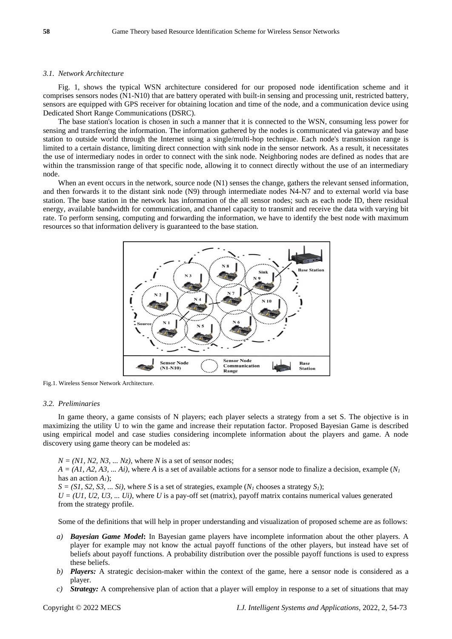#### *3.1. Network Architecture*

Fig. 1, shows the typical WSN architecture considered for our proposed node identification scheme and it comprises sensors nodes (N1-N10) that are battery operated with built-in sensing and processing unit, restricted battery, sensors are equipped with GPS receiver for obtaining location and time of the node, and a communication device using Dedicated Short Range Communications (DSRC).

The base station's location is chosen in such a manner that it is connected to the WSN, consuming less power for sensing and transferring the information. The information gathered by the nodes is communicated via gateway and base station to outside world through the Internet using a single/multi-hop technique. Each node's transmission range is limited to a certain distance, limiting direct connection with sink node in the sensor network. As a result, it necessitates the use of intermediary nodes in order to connect with the sink node. Neighboring nodes are defined as nodes that are within the transmission range of that specific node, allowing it to connect directly without the use of an intermediary node.

When an event occurs in the network, source node (N1) senses the change, gathers the relevant sensed information, and then forwards it to the distant sink node (N9) through intermediate nodes N4-N7 and to external world via base station. The base station in the network has information of the all sensor nodes; such as each node ID, there residual energy, available bandwidth for communication, and channel capacity to transmit and receive the data with varying bit rate. To perform sensing, computing and forwarding the information, we have to identify the best node with maximum resources so that information delivery is guaranteed to the base station.



Fig.1. Wireless Sensor Network Architecture.

#### *3.2. Preliminaries*

In game theory, a game consists of N players; each player selects a strategy from a set S. The objective is in maximizing the utility U to win the game and increase their reputation factor. Proposed Bayesian Game is described using empirical model and case studies considering incomplete information about the players and game. A node discovery using game theory can be modeled as:

 $N = (NI, N2, N3, \dots Nz)$ , where *N* is a set of sensor nodes;  $A = (A1, A2, A3, \dots A1)$ , where *A* is a set of available actions for a sensor node to finalize a decision, example  $(N_I)$ has an action *A1*);  $S = (SI, S2, S3, \ldots Si)$ , where *S* is a set of strategies, example  $(N<sub>I</sub>$  chooses a strategy  $S<sub>I</sub>$ );  $U = (U1, U2, U3, \dots Ui)$ , where U is a pay-off set (matrix), payoff matrix contains numerical values generated from the strategy profile.

Some of the definitions that will help in proper understanding and visualization of proposed scheme are as follows:

- *a) Bayesian Game Model***:** In Bayesian game players have incomplete information about the other players. A player for example may not know the actual payoff functions of the other players, but instead have set of beliefs about payoff functions. A probability distribution over the possible payoff functions is used to express these beliefs.
- *b) Players:* A strategic decision-maker within the context of the game, here a sensor node is considered as a player.
- *c) Strategy:* A comprehensive plan of action that a player will employ in response to a set of situations that may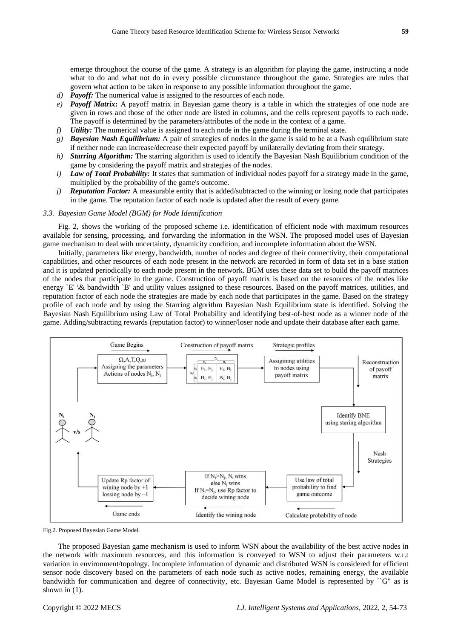emerge throughout the course of the game. A strategy is an algorithm for playing the game, instructing a node what to do and what not do in every possible circumstance throughout the game. Strategies are rules that govern what action to be taken in response to any possible information throughout the game.

- *d) Payoff:* The numerical value is assigned to the resources of each node.
- *e) Payoff Matrix***:** A payoff matrix in Bayesian game theory is a table in which the strategies of one node are given in rows and those of the other node are listed in columns, and the cells represent payoffs to each node. The payoff is determined by the parameters/attributes of the node in the context of a game.
- *f) Utility:* The numerical value is assigned to each node in the game during the terminal state.
- *g) Bayesian Nash Equilibrium:* A pair of strategies of nodes in the game is said to be at a Nash equilibrium state if neither node can increase/decrease their expected payoff by unilaterally deviating from their strategy.
- *h) Starring Algorithm:* The starring algorithm is used to identify the Bayesian Nash Equilibrium condition of the game by considering the payoff matrix and strategies of the nodes.
- *i*) *Law of Total Probability:* It states that summation of individual nodes payoff for a strategy made in the game, multiplied by the probability of the game's outcome.
- *j) Reputation Factor:* A measurable entity that is added/subtracted to the winning or losing node that participates in the game. The reputation factor of each node is updated after the result of every game.

#### *3.3. Bayesian Game Model (BGM) for Node Identification*

Fig. 2, shows the working of the proposed scheme i.e. identification of efficient node with maximum resources available for sensing, processing, and forwarding the information in the WSN. The proposed model uses of Bayesian game mechanism to deal with uncertainty, dynamicity condition, and incomplete information about the WSN.

Initially, parameters like energy, bandwidth, number of nodes and degree of their connectivity, their computational capabilities, and other resources of each node present in the network are recorded in form of data set in a base station and it is updated periodically to each node present in the network. BGM uses these data set to build the payoff matrices of the nodes that participate in the game. Construction of payoff matrix is based on the resources of the nodes like energy  $E' \&$  bandwidth  $B'$  and utility values assigned to these resources. Based on the payoff matrices, utilities, and reputation factor of each node the strategies are made by each node that participates in the game. Based on the strategy profile of each node and by using the Starring algorithm Bayesian Nash Equilibrium state is identified. Solving the Bayesian Nash Equilibrium using Law of Total Probability and identifying best-of-best node as a winner node of the game. Adding/subtracting rewards (reputation factor) to winner/loser node and update their database after each game.



Fig.2. Proposed Bayesian Game Model.

The proposed Bayesian game mechanism is used to inform WSN about the availability of the best active nodes in the network with maximum resources, and this information is conveyed to WSN to adjust their parameters w.r.t variation in environment/topology. Incomplete information of dynamic and distributed WSN is considered for efficient sensor node discovery based on the parameters of each node such as active nodes, remaining energy, the available bandwidth for communication and degree of connectivity, etc. Bayesian Game Model is represented by ``G" as is shown in (1).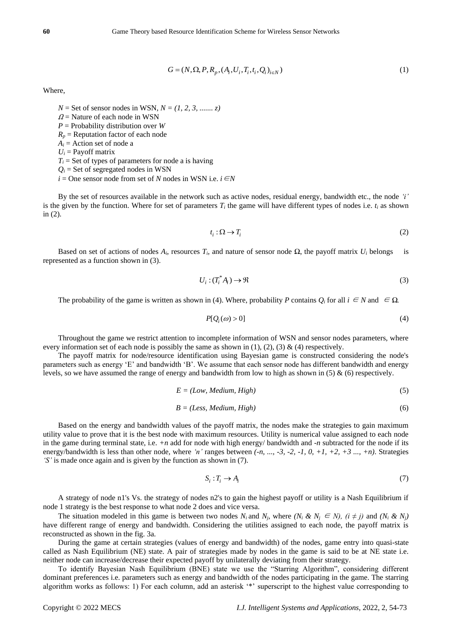$$
G = (N, \Omega, P, R_n, (A_i, U_i, T_i, t_i, Q_i)_{i \in N})
$$
\n(1)

Where,

 $N =$  Set of sensor nodes in WSN,  $N = (1, 2, 3, \dots, z)$ 

 $\Omega$  = Nature of each node in WSN

*P* = Probability distribution over *W*

 $R_p$  = Reputation factor of each node

 $A_i$  = Action set of node a

 $U_i$  = Payoff matrix

 $T_i$  = Set of types of parameters for node a is having

 $Q_i$  = Set of segregated nodes in WSN

 $i =$ One sensor node from set of *N* nodes in WSN i.e.  $i ∈ N$ 

By the set of resources available in the network such as active nodes, residual energy, bandwidth etc., the node *'i'* is the given by the function. Where for set of parameters  $T_i$  the game will have different types of nodes i.e.  $t_i$  as shown in (2).

$$
t_i: \Omega \to T_i \tag{2}
$$

Based on set of actions of nodes  $A_i$ , resources  $T_i$ , and nature of sensor node  $Ω$ , the payoff matrix  $U_i$  belongs is represented as a function shown in (3).

$$
U_i: (T_i^* A_i) \to \Re
$$
 (3)

The probability of the game is written as shown in (4). Where, probability *P* contains  $Q_i$  for all  $i \in N$  and  $\in \Omega$ .

$$
P[Q_i(\omega) > 0] \tag{4}
$$

Throughout the game we restrict attention to incomplete information of WSN and sensor nodes parameters, where every information set of each node is possibly the same as shown in (1), (2), (3) & (4) respectively.

The payoff matrix for node/resource identification using Bayesian game is constructed considering the node's parameters such as energy 'E' and bandwidth 'B'. We assume that each sensor node has different bandwidth and energy levels, so we have assumed the range of energy and bandwidth from low to high as shown in (5) & (6) respectively.

$$
E = (Low, Medium, High)
$$
 (5)

$$
B = (Less, Medium, High)
$$
 (6)

When,<br>
When,<br>
When  $G = (N, \Omega, P, R_y, (A_0, L, T_0, L, \Omega_0))$ <br>  $\Omega$  Numeric functions have the NNN,  $N = (1, 2, 3, ..., 7)$ <br>  $\Omega$ . Numeric functions have the NNN  $\Lambda$  -Republication of the NNN  $\Omega$ <br>  $\Lambda$ , A strong out of those on the NN Based on the energy and bandwidth values of the payoff matrix, the nodes make the strategies to gain maximum utility value to prove that it is the best node with maximum resources. Utility is numerical value assigned to each node in the game during terminal state, i.e. *+n* add for node with high energy/ bandwidth and *-n* subtracted for the node if its energy/bandwidth is less than other node, where *'n'* ranges between *(-n, ..., -3, -2, -1, 0, +1, +2, +3 ..., +n)*. Strategies *'S'* is made once again and is given by the function as shown in (7).

$$
S_i: T_i \to A_i \tag{7}
$$

A strategy of node n1's Vs. the strategy of nodes n2's to gain the highest payoff or utility is a Nash Equilibrium if node 1 strategy is the best response to what node 2 does and vice versa.

The situation modeled in this game is between two nodes  $N_i$  and  $N_j$ , where  $(N_i \& N_j \in N$ ,  $(i \neq j)$  and  $(N_i \& N_j)$ have different range of energy and bandwidth. Considering the utilities assigned to each node, the payoff matrix is reconstructed as shown in the fig. 3a.

During the game at certain strategies (values of energy and bandwidth) of the nodes, game entry into quasi-state called as Nash Equilibrium (NE) state. A pair of strategies made by nodes in the game is said to be at NE state i.e. neither node can increase/decrease their expected payoff by unilaterally deviating from their strategy.

To identify Bayesian Nash Equilibrium (BNE) state we use the "Starring Algorithm", considering different dominant preferences i.e. parameters such as energy and bandwidth of the nodes participating in the game. The starring algorithm works as follows: 1) For each column, add an asterisk '\*' superscript to the highest value corresponding to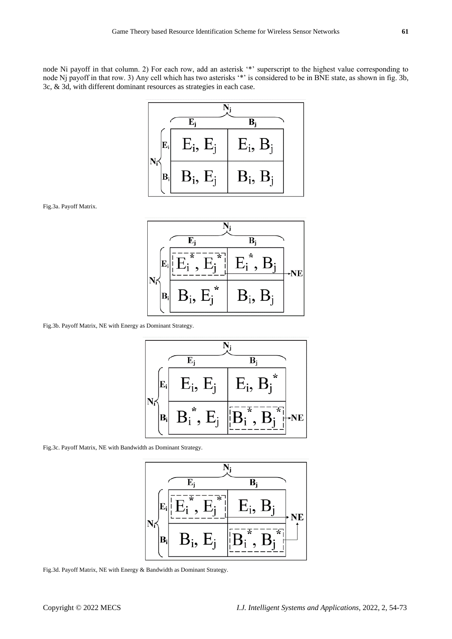node Ni payoff in that column. 2) For each row, add an asterisk '\*' superscript to the highest value corresponding to node Nj payoff in that row. 3) Any cell which has two asterisks '\*' is considered to be in BNE state, as shown in fig. 3b, 3c, & 3d, with different dominant resources as strategies in each case.



Fig.3a. Payoff Matrix.



Fig.3b. Payoff Matrix, NE with Energy as Dominant Strategy.



Fig.3c. Payoff Matrix, NE with Bandwidth as Dominant Strategy.



Fig.3d. Payoff Matrix, NE with Energy & Bandwidth as Dominant Strategy.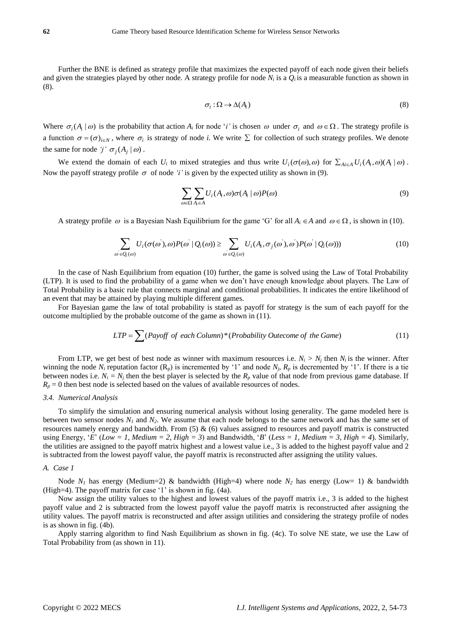Further the BNE is defined as strategy profile that maximizes the expected payoff of each node given their beliefs and given the strategies played by other node. A strategy profile for node  $N_i$  is a  $Q_i$  is a measurable function as shown in (8).

$$
\sigma_i : \Omega \to \Delta(A_i) \tag{8}
$$

Where  $\sigma_i(A_i | \omega)$  is the probability that action  $A_i$  for node '*i*' is chosen  $\omega$  under  $\sigma_i$  and  $\omega \in \Omega$ . The strategy profile is a function  $\sigma = (\sigma)_{i \in N}$ , where  $\sigma_i$  is strategy of node *i*. We write  $\Sigma$  for collection of such strategy profiles. We denote the same for node  $j' \sigma_j(A_j | \omega)$ .

We extend the domain of each  $U_i$  to mixed strategies and thus write  $U_i(\sigma(\omega), \omega)$  for  $\sum_{A_i \in A} U_i(A_i, \omega)(A_i | \omega)$ . Now the payoff strategy profile  $\sigma$  of node '*i*' is given by the expected utility as shown in (9).

$$
\sum_{\omega \in \Omega} \sum_{A_i \in A} U_i(A_i, \omega) \sigma(A_i \mid \omega) P(\omega) \tag{9}
$$

A strategy profile  $\omega$  is a Bayesian Nash Equilibrium for the game 'G' for all  $A_i \in A$  and  $\omega \in \Omega$ , is shown in (10).

$$
\sum_{\omega \in Q_i(\omega)} U_i(\sigma(\omega'), \omega) P(\omega' | Q_i(\omega)) \ge \sum_{\omega \in Q_i(\omega)} U_i(A_i, \sigma_j(\omega'), \omega') P(\omega' | Q_i(\omega))) \tag{10}
$$

In the case of Nash Equilibrium from equation (10) further, the game is solved using the Law of Total Probability (LTP). It is used to find the probability of a game when we don't have enough knowledge about players. The Law of Total Probability is a basic rule that connects marginal and conditional probabilities. It indicates the entire likelihood of an event that may be attained by playing multiple different games.

For Bayesian game the law of total probability is stated as payoff for strategy is the sum of each payoff for the outcome multiplied by the probable outcome of the game as shown in (11).

$$
LTP = \sum (Payoff \ of \ each \ Column)^*(Probability \ Onceome \ of \ the \ Game)
$$
 (11)

From LTP, we get best of best node as winner with maximum resources i.e.  $N_i > N_j$  then  $N_i$  is the winner. After winning the node  $N_i$  reputation factor ( $R_p$ ) is incremented by '1' and node  $N_j$ ,  $R_p$  is decremented by '1'. If there is a tie between nodes i.e.  $N_i = N_j$  then the best player is selected by the  $R_p$  value of that node from previous game database. If  $R_p = 0$  then best node is selected based on the values of available resources of nodes.

#### *3.4. Numerical Analysis*

To simplify the simulation and ensuring numerical analysis without losing generality. The game modeled here is between two sensor nodes  $N_I$  and  $N_2$ . We assume that each node belongs to the same network and has the same set of resources namely energy and bandwidth. From  $(5)$  &  $(6)$  values assigned to resources and payoff matrix is constructed using Energy, '*E*' (*Low = 1, Medium = 2, High = 3*) and Bandwidth, '*B*' (*Less = 1, Medium = 3, High = 4*). Similarly, the utilities are assigned to the payoff matrix highest and a lowest value i.e., 3 is added to the highest payoff value and 2 is subtracted from the lowest payoff value, the payoff matrix is reconstructed after assigning the utility values.

#### *A. Case 1*

Node  $N_1$  has energy (Medium=2) & bandwidth (High=4) where node  $N_2$  has energy (Low= 1) & bandwidth (High=4). The payoff matrix for case '1' is shown in fig. (4a).

Now assign the utility values to the highest and lowest values of the payoff matrix i.e., 3 is added to the highest payoff value and 2 is subtracted from the lowest payoff value the payoff matrix is reconstructed after assigning the utility values. The payoff matrix is reconstructed and after assign utilities and considering the strategy profile of nodes is as shown in fig. (4b).

Apply starring algorithm to find Nash Equilibrium as shown in fig. (4c). To solve NE state, we use the Law of Total Probability from (as shown in 11).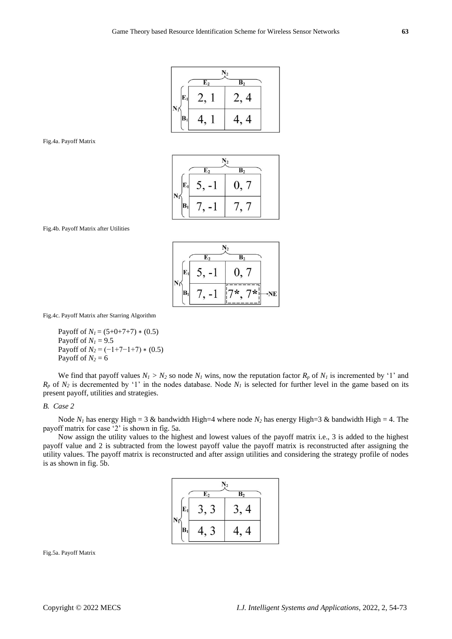|                |                | $N_2$            |
|----------------|----------------|------------------|
|                | E <sub>2</sub> | $\overline{B_2}$ |
| $\mathbf{E}_1$ |                | $\overline{4}$   |
|                | 4              | 4                |

#### Fig.4a. Payoff Matrix

|       |                | $N_2$            |
|-------|----------------|------------------|
|       | E <sub>2</sub> | $\overline{B_2}$ |
| $E_1$ |                | $\theta$ ,       |
| $B_1$ |                |                  |

Fig.4b. Payoff Matrix after Utilities

|  |       | $\overline{\mathrm{E}_2}$ | B,             |   |
|--|-------|---------------------------|----------------|---|
|  | $E_1$ | $\mathcal{L}$ .           | $\mathbf{0}$ . |   |
|  | В     |                           | x              | 7 |

Fig.4c. Payoff Matrix after Starring Algorithm

Payoff of  $N_1 = (5+0+7+7) * (0.5)$ Payoff of  $N_I = 9.5$ Payoff of  $N_2 = (-1+7-1+7) * (0.5)$ Payoff of  $N_2 = 6$ 

We find that payoff values  $N_I > N_2$  so node  $N_I$  wins, now the reputation factor  $R_p$  of  $N_I$  is incremented by '1' and  $R_p$  of  $N_2$  is decremented by '1' in the nodes database. Node  $N_l$  is selected for further level in the game based on its present payoff, utilities and strategies.

#### *B. Case 2*

Node  $N_I$  has energy High = 3 & bandwidth High=4 where node  $N_2$  has energy High=3 & bandwidth High = 4. The payoff matrix for case '2' is shown in fig. 5a.

Now assign the utility values to the highest and lowest values of the payoff matrix i.e., 3 is added to the highest payoff value and 2 is subtracted from the lowest payoff value the payoff matrix is reconstructed after assigning the utility values. The payoff matrix is reconstructed and after assign utilities and considering the strategy profile of nodes is as shown in fig. 5b.

|    |                | $N_2$        |  |
|----|----------------|--------------|--|
|    | E <sub>2</sub> | B,           |  |
| E, |                | 4            |  |
| B  |                | $\bf 4$<br>4 |  |

Fig.5a. Payoff Matrix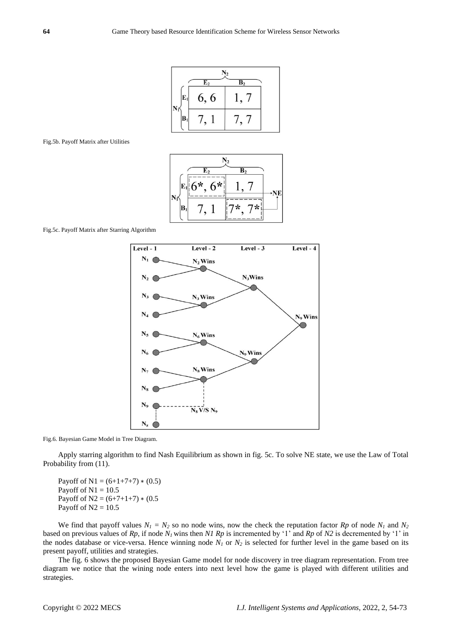|    |                | ٧2             |  |
|----|----------------|----------------|--|
|    | E <sub>2</sub> | B <sub>2</sub> |  |
| E1 | 6, 6           |                |  |
| B  |                |                |  |

#### Fig.5b. Payoff Matrix after Utilities



Fig.5c. Payoff Matrix after Starring Algorithm



Fig.6. Bayesian Game Model in Tree Diagram.

Apply starring algorithm to find Nash Equilibrium as shown in fig. 5c. To solve NE state, we use the Law of Total Probability from (11).

Payoff of N1 =  $(6+1+7+7) * (0.5)$ Payoff of  $N1 = 10.5$ Payoff of N2 =  $(6+7+1+7) * (0.5)$ Payoff of  $N2 = 10.5$ 

We find that payoff values  $N_1 = N_2$  so no node wins, now the check the reputation factor  $Rp$  of node  $N_1$  and  $N_2$ based on previous values of *Rp*, if node *N1* wins then *N1 Rp* is incremented by '1' and *Rp* of *N2* is decremented by '1' in the nodes database or vice-versa. Hence winning node  $N_I$  or  $N_2$  is selected for further level in the game based on its present payoff, utilities and strategies.

The fig. 6 shows the proposed Bayesian Game model for node discovery in tree diagram representation. From tree diagram we notice that the wining node enters into next level how the game is played with different utilities and strategies.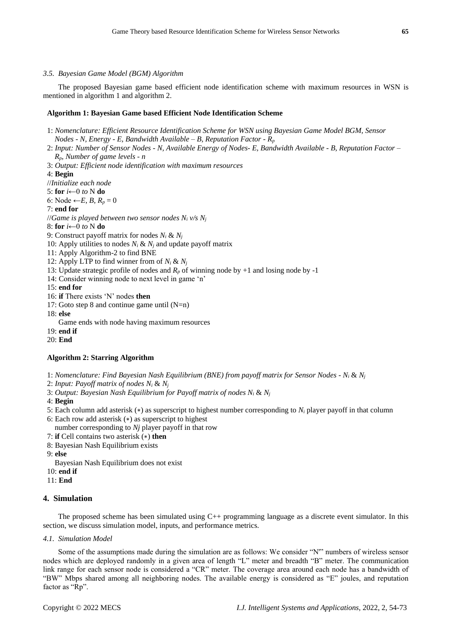#### *3.5. Bayesian Game Model (BGM) Algorithm*

The proposed Bayesian game based efficient node identification scheme with maximum resources in WSN is mentioned in algorithm 1 and algorithm 2.

### **Algorithm 1: Bayesian Game based Efficient Node Identification Scheme**

- 1: *Nomenclature: Efficient Resource Identification Scheme for WSN using Bayesian Game Model BGM, Sensor Nodes - N, Energy - E, Bandwidth Available – B, Reputation Factor - R<sup>p</sup>*
- 2: *Input: Number of Sensor Nodes - N, Available Energy of Nodes- E, Bandwidth Available - B, Reputation Factor – Rp, Number of game levels - n*
- 3: *Output: Efficient node identification with maximum resources*
- 4: **Begin**
- //*Initialize each node*
- 5: **for** *i*←0 *to* N **do**
- 6: Node ← *E*, *B*,  $R_p = 0$
- 7: **end for**
- //*Game is played between two sensor nodes N<sup>i</sup> v/s N<sup>j</sup>*
- 8: **for** *i*←0 *to* N **do**
- 9: Construct payoff matrix for nodes  $N_i \& N_j$
- 10: Apply utilities to nodes  $N_i \& N_j$  and update payoff matrix
- 11: Apply Algorithm-2 to find BNE
- 12: Apply LTP to find winner from of  $N_i \& N_j$
- 13: Update strategic profile of nodes and  $R_p$  of winning node by +1 and losing node by -1
- 14: Consider winning node to next level in game 'n'
- 15: **end for**
- 16: **if** There exists 'N' nodes **then**
- 17: Goto step 8 and continue game until  $(N=n)$
- 18: **else**

Game ends with node having maximum resources

- 19: **end if**
- 20: **End**

#### **Algorithm 2: Starring Algorithm**

- 1: *Nomenclature: Find Bayesian Nash Equilibrium (BNE) from payoff matrix for Sensor Nodes - N<sup>i</sup>* & *N<sup>j</sup>*
- 2: *Input: Payoff matrix of nodes N<sup>i</sup>* & *N<sup>j</sup>*
- 3: *Output: Bayesian Nash Equilibrium for Payoff matrix of nodes N<sup>i</sup>* & *N<sup>j</sup>*
- 4: **Begin**
- 5: Each column add asterisk (∗) as superscript to highest number corresponding to *N<sup>i</sup>* player payoff in that column
- 6: Each row add asterisk (∗) as superscript to highest
	- number corresponding to *Nj* player payoff in that row
- 7: **if** Cell contains two asterisk (∗) **then**
- 8: Bayesian Nash Equilibrium exists
- 9: **else**
	- Bayesian Nash Equilibrium does not exist
- 10: **end if**
- 11: **End**

# **4. Simulation**

The proposed scheme has been simulated using C++ programming language as a discrete event simulator. In this section, we discuss simulation model, inputs, and performance metrics.

#### *4.1. Simulation Model*

Some of the assumptions made during the simulation are as follows: We consider "N'" numbers of wireless sensor nodes which are deployed randomly in a given area of length "L" meter and breadth "B" meter. The communication link range for each sensor node is considered a "CR" meter. The coverage area around each node has a bandwidth of "BW" Mbps shared among all neighboring nodes. The available energy is considered as "E" joules, and reputation factor as "Rp".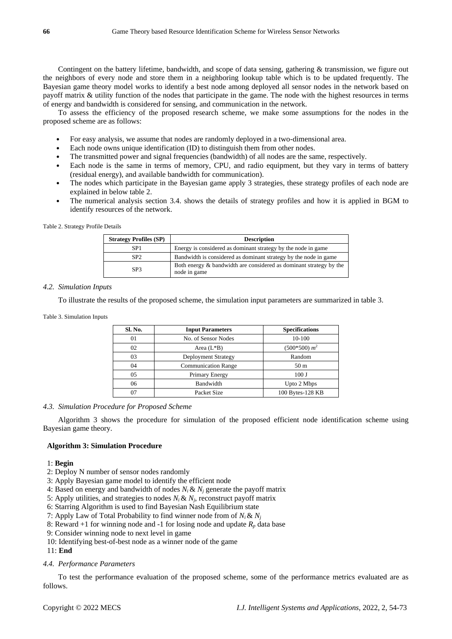Contingent on the battery lifetime, bandwidth, and scope of data sensing, gathering & transmission, we figure out the neighbors of every node and store them in a neighboring lookup table which is to be updated frequently. The Bayesian game theory model works to identify a best node among deployed all sensor nodes in the network based on payoff matrix & utility function of the nodes that participate in the game. The node with the highest resources in terms of energy and bandwidth is considered for sensing, and communication in the network.

To assess the efficiency of the proposed research scheme, we make some assumptions for the nodes in the proposed scheme are as follows:

- For easy analysis, we assume that nodes are randomly deployed in a two-dimensional area.
- Each node owns unique identification (ID) to distinguish them from other nodes.
- The transmitted power and signal frequencies (bandwidth) of all nodes are the same, respectively.
- Each node is the same in terms of memory, CPU, and radio equipment, but they vary in terms of battery (residual energy), and available bandwidth for communication).
- The nodes which participate in the Bayesian game apply 3 strategies, these strategy profiles of each node are explained in below table 2.
- The numerical analysis section 3.4. shows the details of strategy profiles and how it is applied in BGM to identify resources of the network.

#### Table 2. Strategy Profile Details

| <b>Strategy Profiles (SP)</b> | <b>Description</b>                                                                 |
|-------------------------------|------------------------------------------------------------------------------------|
| SP <sub>1</sub>               | Energy is considered as dominant strategy by the node in game                      |
| SP <sub>2</sub>               | Bandwidth is considered as dominant strategy by the node in game                   |
| SP <sub>3</sub>               | Both energy & bandwidth are considered as dominant strategy by the<br>node in game |

#### *4.2. Simulation Inputs*

To illustrate the results of the proposed scheme, the simulation input parameters are summarized in table 3.

Table 3. Simulation Inputs

| Sl. No. | <b>Input Parameters</b>    | <b>Specifications</b> |
|---------|----------------------------|-----------------------|
| 01      | No. of Sensor Nodes        | $10-100$              |
| 02      | Area $(L*B)$               | $(500*500) m2$        |
| 03      | <b>Deployment Strategy</b> | Random                |
| 04      | <b>Communication Range</b> | 50 <sub>m</sub>       |
| 05      | Primary Energy             | 100J                  |
| 06      | Bandwidth                  | Upto 2 Mbps           |
| 07      | Packet Size                | 100 Bytes-128 KB      |

#### *4.3. Simulation Procedure for Proposed Scheme*

Algorithm 3 shows the procedure for simulation of the proposed efficient node identification scheme using Bayesian game theory.

# **Algorithm 3: Simulation Procedure**

#### 1: **Begin**

- 2: Deploy N number of sensor nodes randomly
- 3: Apply Bayesian game model to identify the efficient node
- 4: Based on energy and bandwidth of nodes  $N_i \& N_j$  generate the payoff matrix
- 5: Apply utilities, and strategies to nodes  $N_i \& N_j$ , reconstruct payoff matrix
- 6: Starring Algorithm is used to find Bayesian Nash Equilibrium state
- 7: Apply Law of Total Probability to find winner node from of  $N_i \& N_j$
- 8: Reward  $+1$  for winning node and  $-1$  for losing node and update  $R_p$  data base
- 9: Consider winning node to next level in game
- 10: Identifying best-of-best node as a winner node of the game

11: **End**

#### *4.4. Performance Parameters*

To test the performance evaluation of the proposed scheme, some of the performance metrics evaluated are as follows.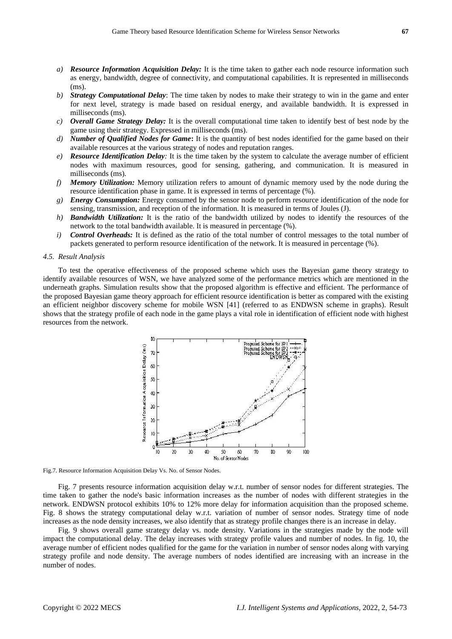- *a) Resource Information Acquisition Delay:* It is the time taken to gather each node resource information such as energy, bandwidth, degree of connectivity, and computational capabilities. It is represented in milliseconds (ms).
- *b) Strategy Computational Delay*: The time taken by nodes to make their strategy to win in the game and enter for next level, strategy is made based on residual energy, and available bandwidth. It is expressed in milliseconds (ms).
- *c) Overall Game Strategy Delay:* It is the overall computational time taken to identify best of best node by the game using their strategy. Expressed in milliseconds (ms).
- *d) Number of Qualified Nodes for Game***:** It is the quantity of best nodes identified for the game based on their available resources at the various strategy of nodes and reputation ranges.
- *e) Resource Identification Delay:* It is the time taken by the system to calculate the average number of efficient nodes with maximum resources, good for sensing, gathering, and communication. It is measured in milliseconds (ms).
- *f) Memory Utilization:* Memory utilization refers to amount of dynamic memory used by the node during the resource identification phase in game. It is expressed in terms of percentage (%).
- *g) Energy Consumption:* Energy consumed by the sensor node to perform resource identification of the node for sensing, transmission, and reception of the information. It is measured in terms of Joules (J).
- *h) Bandwidth Utilization:* It is the ratio of the bandwidth utilized by nodes to identify the resources of the network to the total bandwidth available. It is measured in percentage (%).
- *i) Control Overheads:* It is defined as the ratio of the total number of control messages to the total number of packets generated to perform resource identification of the network. It is measured in percentage (%).

#### *4.5. Result Analysis*

To test the operative effectiveness of the proposed scheme which uses the Bayesian game theory strategy to identify available resources of WSN, we have analyzed some of the performance metrics which are mentioned in the underneath graphs. Simulation results show that the proposed algorithm is effective and efficient. The performance of the proposed Bayesian game theory approach for efficient resource identification is better as compared with the existing an efficient neighbor discovery scheme for mobile WSN [41] (referred to as ENDWSN scheme in graphs). Result shows that the strategy profile of each node in the game plays a vital role in identification of efficient node with highest resources from the network.



Fig.7. Resource Information Acquisition Delay Vs. No. of Sensor Nodes.

Fig. 7 presents resource information acquisition delay w.r.t. number of sensor nodes for different strategies. The time taken to gather the node's basic information increases as the number of nodes with different strategies in the network. ENDWSN protocol exhibits 10% to 12% more delay for information acquisition than the proposed scheme. Fig. 8 shows the strategy computational delay w.r.t. variation of number of sensor nodes. Strategy time of node increases as the node density increases, we also identify that as strategy profile changes there is an increase in delay.

Fig. 9 shows overall game strategy delay vs. node density. Variations in the strategies made by the node will impact the computational delay. The delay increases with strategy profile values and number of nodes. In fig. 10, the average number of efficient nodes qualified for the game for the variation in number of sensor nodes along with varying strategy profile and node density. The average numbers of nodes identified are increasing with an increase in the number of nodes.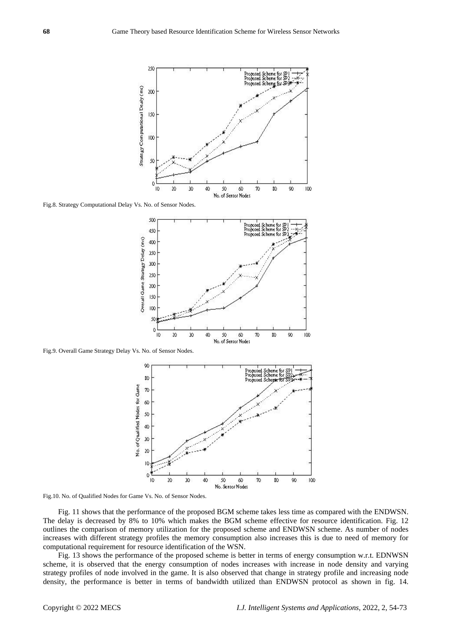

Fig.8. Strategy Computational Delay Vs. No. of Sensor Nodes.



Fig.9. Overall Game Strategy Delay Vs. No. of Sensor Nodes.



Fig.10. No. of Qualified Nodes for Game Vs. No. of Sensor Nodes.

Fig. 11 shows that the performance of the proposed BGM scheme takes less time as compared with the ENDWSN. The delay is decreased by 8% to 10% which makes the BGM scheme effective for resource identification. Fig. 12 outlines the comparison of memory utilization for the proposed scheme and ENDWSN scheme. As number of nodes increases with different strategy profiles the memory consumption also increases this is due to need of memory for computational requirement for resource identification of the WSN.

Fig. 13 shows the performance of the proposed scheme is better in terms of energy consumption w.r.t. EDNWSN scheme, it is observed that the energy consumption of nodes increases with increase in node density and varying strategy profiles of node involved in the game. It is also observed that change in strategy profile and increasing node density, the performance is better in terms of bandwidth utilized than ENDWSN protocol as shown in fig. 14.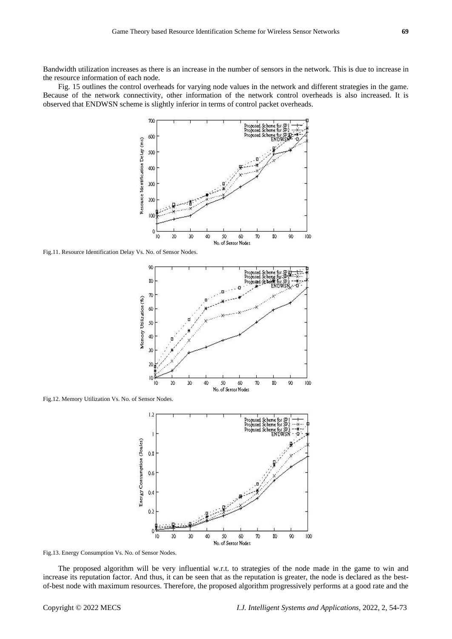Bandwidth utilization increases as there is an increase in the number of sensors in the network. This is due to increase in the resource information of each node.

Fig. 15 outlines the control overheads for varying node values in the network and different strategies in the game. Because of the network connectivity, other information of the network control overheads is also increased. It is observed that ENDWSN scheme is slightly inferior in terms of control packet overheads.



Fig.11. Resource Identification Delay Vs. No. of Sensor Nodes.



Fig.12. Memory Utilization Vs. No. of Sensor Nodes.



Fig.13. Energy Consumption Vs. No. of Sensor Nodes.

The proposed algorithm will be very influential w.r.t. to strategies of the node made in the game to win and increase its reputation factor. And thus, it can be seen that as the reputation is greater, the node is declared as the bestof-best node with maximum resources. Therefore, the proposed algorithm progressively performs at a good rate and the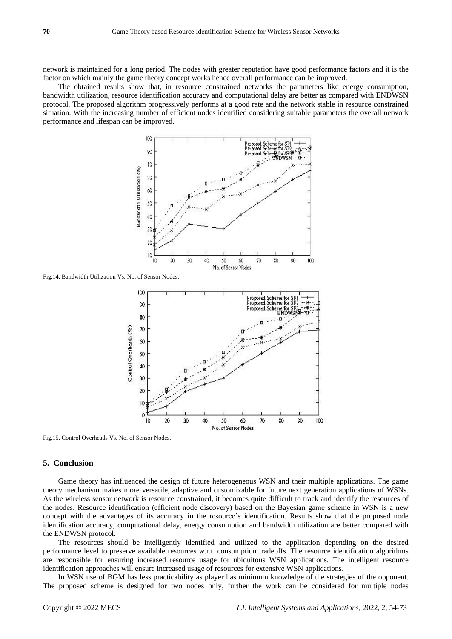network is maintained for a long period. The nodes with greater reputation have good performance factors and it is the factor on which mainly the game theory concept works hence overall performance can be improved.

The obtained results show that, in resource constrained networks the parameters like energy consumption, bandwidth utilization, resource identification accuracy and computational delay are better as compared with ENDWSN protocol. The proposed algorithm progressively performs at a good rate and the network stable in resource constrained situation. With the increasing number of efficient nodes identified considering suitable parameters the overall network performance and lifespan can be improved.



Fig.14. Bandwidth Utilization Vs. No. of Sensor Nodes.



Fig.15. Control Overheads Vs. No. of Sensor Nodes.

#### **5. Conclusion**

Game theory has influenced the design of future heterogeneous WSN and their multiple applications. The game theory mechanism makes more versatile, adaptive and customizable for future next generation applications of WSNs. As the wireless sensor network is resource constrained, it becomes quite difficult to track and identify the resources of the nodes. Resource identification (efficient node discovery) based on the Bayesian game scheme in WSN is a new concept with the advantages of its accuracy in the resource's identification. Results show that the proposed node identification accuracy, computational delay, energy consumption and bandwidth utilization are better compared with the ENDWSN protocol.

The resources should be intelligently identified and utilized to the application depending on the desired performance level to preserve available resources w.r.t. consumption tradeoffs. The resource identification algorithms are responsible for ensuring increased resource usage for ubiquitous WSN applications. The intelligent resource identification approaches will ensure increased usage of resources for extensive WSN applications.

In WSN use of BGM has less practicability as player has minimum knowledge of the strategies of the opponent. The proposed scheme is designed for two nodes only, further the work can be considered for multiple nodes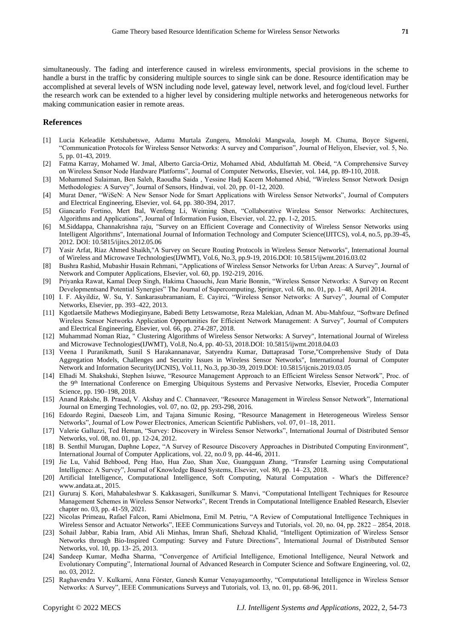simultaneously. The fading and interference caused in wireless environments, special provisions in the scheme to handle a burst in the traffic by considering multiple sources to single sink can be done. Resource identification may be accomplished at several levels of WSN including node level, gateway level, network level, and fog/cloud level. Further the research work can be extended to a higher level by considering multiple networks and heterogeneous networks for making communication easier in remote areas.

#### **References**

- [1] Lucia Keleadile Ketshabetswe, Adamu Murtala Zungeru, Mmoloki Mangwala, Joseph M. Chuma, Boyce Sigweni, "Communication Protocols for Wireless Sensor Networks: A survey and Comparison", Journal of Heliyon, Elsevier, vol. 5, No. 5, pp. 01-43, 2019.
- [2] Fatma Karray, Mohamed W. Jmal, Alberto Garcia-Ortiz, Mohamed Abid, Abdulfattah M. Obeid, "A Comprehensive Survey on Wireless Sensor Node Hardware Platforms", Journal of Computer Networks, Elsevier, vol. 144, pp. 89-110, 2018.
- [3] Mohammed Sulaiman, Ben Saleh, Raoudha Saida , Yessine Hadj Kacem Mohamed Abid, "Wireless Sensor Network Design Methodologies: A Survey", Journal of Sensors, Hindwai, vol. 20, pp. 01-12, 2020.
- [4] Murat Dener, "WiSeN: A New Sensor Node for Smart Applications with Wireless Sensor Networks", Journal of Computers and Electrical Engineering, Elsevier, vol. 64, pp. 380-394, 2017.
- [5] Giancarlo Fortino, Mert Bal, Wenfeng Li, Weiming Shen, "Collaborative Wireless Sensor Networks: Architectures, Algorithms and Applications", Journal of Information Fusion, Elsevier, vol. 22, pp. 1-2, 2015.
- [6] M.Siddappa, Channakrishna raju, "Survey on an Efficient Coverage and Connectivity of Wireless Sensor Networks using Intelligent Algorithms", International Journal of Information Technology and Computer Science(IJITCS), vol.4, no.5, pp.39-45, 2012. DOI: 10.5815/ijitcs.2012.05.06
- [7] Yasir Arfat, Riaz Ahmed Shaikh,"A Survey on Secure Routing Protocols in Wireless Sensor Networks", International Journal of Wireless and Microwave Technologies(IJWMT), Vol.6, No.3, pp.9-19, 2016.DOI: 10.5815/ijwmt.2016.03.02
- [8] Bushra Rashid, Mubashir Husain Rehmani, "Applications of Wireless Sensor Networks for Urban Areas: A Survey", Journal of Network and Computer Applications, Elsevier, vol. 60, pp. 192-219, 2016.
- [9] Priyanka Rawat, Kamal Deep Singh, Hakima Chaouchi, Jean Marie Bonnin, "Wireless Sensor Networks: A Survey on Recent Developmentsand Potential Synergies" The Journal of Supercomputing, Springer, vol. 68, no. 01, pp. 1–48, April 2014.
- [10] I. F. Akyildiz, W. Su, Y. Sankarasubramaniam, E. Cayirci, "Wireless Sensor Networks: A Survey", Journal of Computer Networks, Elsevier, pp. 393–422, 2013.
- [11] Kgotlaetsile Mathews Modieginyane, Babedi Betty Letswamotse, Reza Malekian, Adnan M. Abu-Mahfouz, "Software Defined Wireless Sensor Networks Application Opportunities for Efficient Network Management: A Survey", Journal of Computers and Electrical Engineering, Elsevier, vol. 66, pp. 274-287, 2018.
- [12] Muhammad Noman Riaz, " Clustering Algorithms of Wireless Sensor Networks: A Survey", International Journal of Wireless and Microwave Technologies(IJWMT), Vol.8, No.4, pp. 40-53, 2018.DOI: 10.5815/ijwmt.2018.04.03
- [13] Veena I Puranikmath, Sunil S Harakannanavar, Satyendra Kumar, Dattaprasad Torse,"Comprehensive Study of Data Aggregation Models, Challenges and Security Issues in Wireless Sensor Networks", International Journal of Computer Network and Information Security(IJCNIS), Vol.11, No.3, pp.30-39, 2019.DOI: 10.5815/ijcnis.2019.03.05
- [14] Elhadi M. Shakshuki, Stephen Isiuwe, "Resource Management Approach to an Efficient Wireless Sensor Network", Proc. of the 9<sup>th</sup> International Conference on Emerging Ubiquitous Systems and Pervasive Networks, Elsevier, Procedia Computer Science, pp. 190–198, 2018.
- [15] Anand Rakshe, B. Prasad, V. Akshay and C. Channaveer, "Resource Management in Wireless Sensor Network", International Journal on Emerging Technologies, vol. 07, no. 02, pp. 293-298, 2016.
- [16] Edoardo Regini, Daeseob Lim, and Tajana Simunic Rosing, "Resource Management in Heterogeneous Wireless Sensor Networks", Journal of Low Power Electronics, American Scientific Publishers, vol. 07, 01–18, 2011.
- [17] Valerie Galluzzi, Ted Heman, "Survey: Discovery in Wireless Sensor Networks", International Journal of Distributed Sensor Networks, vol. 08, no. 01, pp. 12-24, 2012.
- [18] B. Senthil Murugan, Daphne Lopez, "A Survey of Resource Discovery Approaches in Distributed Computing Environment", International Journal of Computer Applications, vol. 22, no.0 9, pp. 44-46, 2011.
- [19] Jie Lu, Vahid Behbood, Peng Hao, Hua Zuo, Shan Xue, Guangquan Zhang, "Transfer Learning using Computational Intelligence: A Survey", Journal of Knowledge Based Systems, Elsevier, vol. 80, pp. 14–23, 2018.
- [20] Artificial Intelligence, Computational Intelligence, Soft Computing, Natural Computation What's the Difference? www.andata.at., 2015.
- [21] Gururaj S. Kori, Mahabaleshwar S. Kakkasageri, Sunilkumar S. Manvi, "Computational Intelligent Techniques for Resource Management Schemes in Wireless Sensor Networks", Recent Trends in Computational Intelligence Enabled Research, Elsevier chapter no. 03, pp. 41-59, 2021.
- [22] Nicolas Primeau, Rafael Falcon, Rami Abielmona, Emil M. Petriu, "A Review of Computational Intelligence Techniques in Wireless Sensor and Actuator Networks", IEEE Communications Surveys and Tutorials, vol. 20, no. 04, pp. 2822 – 2854, 2018.
- [23] Sohail Jabbar, Rabia Iram, Abid Ali Minhas, Imran Shafi, Shehzad Khalid, "Intelligent Optimization of Wireless Sensor Networks through Bio-Inspired Computing: Survey and Future Directions", International Journal of Distributed Sensor Networks, vol. 10, pp. 13- 25, 2013.
- [24] Sandeep Kumar, Medha Sharma, "Convergence of Artificial Intelligence, Emotional Intelligence, Neural Network and Evolutionary Computing", International Journal of Advanced Research in Computer Science and Software Engineering, vol. 02, no. 03, 2012.
- [25] Raghavendra V. Kulkarni, Anna Förster, Ganesh Kumar Venayagamoorthy, "Computational Intelligence in Wireless Sensor Networks: A Survey", IEEE Communications Surveys and Tutorials, vol. 13, no. 01, pp. 68-96, 2011.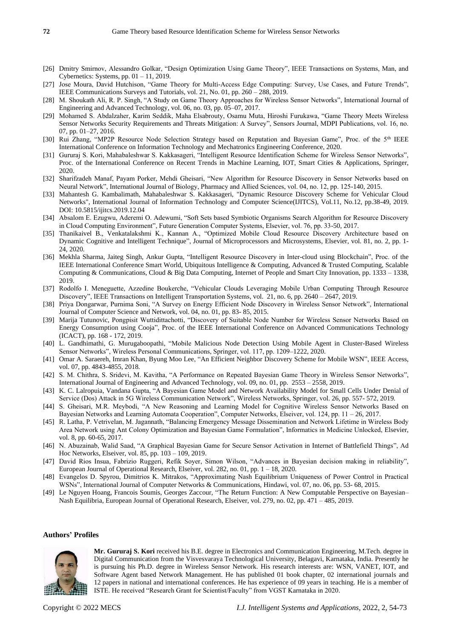- [26] Dmitry Smirnov, Alessandro Golkar, "Design Optimization Using Game Theory", IEEE Transactions on Systems, Man, and Cybernetics: Systems, pp. 01 – 11, 2019.
- [27] Jose Moura, David Hutchison, "Game Theory for Multi-Access Edge Computing: Survey, Use Cases, and Future Trends", IEEE Communications Surveys and Tutorials, vol. 21, No. 01, pp. 260 – 288, 2019.
- [28] M. Shoukath Ali, R. P. Singh, "A Study on Game Theory Approaches for Wireless Sensor Networks", International Journal of Engineering and Advanced Technology, vol. 06, no. 03, pp. 05–07, 2017.
- [29] Mohamed S. Abdalzaher, Karim Seddik, Maha Elsabrouty, Osamu Muta, Hiroshi Furukawa, "Game Theory Meets Wireless Sensor Networks Security Requirements and Threats Mitigation: A Survey", Sensors Journal, MDPI Publications, vol. 16, no. 07, pp. 01–27, 2016.
- [30] Rui Zhang, "MP2P Resource Node Selection Strategy based on Reputation and Bayesian Game", Proc. of the 5th IEEE International Conference on Information Technology and Mechatronics Engineering Conference, 2020.
- [31] Gururaj S. Kori, Mahabaleshwar S. Kakkasageri, "Intelligent Resource Identification Scheme for Wireless Sensor Networks", Proc. of the International Conference on Recent Trends in Machine Learning, IOT, Smart Cities & Applications, Springer, 2020.
- [32] Sharifzadeh Manaf, Payam Porker, Mehdi Gheisari, "New Algorithm for Resource Discovery in Sensor Networks based on Neural Network", International Journal of Biology, Pharmacy and Allied Sciences, vol. 04, no. 12, pp. 125-140, 2015.
- [33] Mahantesh G. Kambalimath, Mahabaleshwar S. Kakkasageri, "Dynamic Resource Discovery Scheme for Vehicular Cloud Networks", International Journal of Information Technology and Computer Science(IJITCS), Vol.11, No.12, pp.38-49, 2019. DOI: 10.5815/ijitcs.2019.12.04
- [34] Absalom E. Ezugwu, Aderemi O. Adewumi, "Soft Sets based Symbiotic Organisms Search Algorithm for Resource Discovery in Cloud Computing Environment", Future Generation Computer Systems, Elsevier, vol. 76, pp. 33-50, 2017.
- [35] Thanikaivel B., Venkatalakshmi K., Kannan A., "Optimized Mobile Cloud Resource Discovery Architecture based on Dynamic Cognitive and Intelligent Technique", Journal of Microprocessors and Microsystems, Elsevier, vol. 81, no. 2, pp. 1- 24, 2020.
- [36] Mekhla Sharma, Jaiteg Singh, Ankur Gupta, "Intelligent Resource Discovery in Inter-cloud using Blockchain", Proc. of the IEEE International Conference Smart World, Ubiquitous Intelligence & Computing, Advanced & Trusted Computing, Scalable Computing & Communications, Cloud & Big Data Computing, Internet of People and Smart City Innovation, pp. 1333 – 1338, 2019.
- [37] Rodolfo I. Meneguette, Azzedine Boukerche, "Vehicular Clouds Leveraging Mobile Urban Computing Through Resource Discovery", IEEE Transactions on Intelligent Transportation Systems, vol. 21, no. 6, pp. 2640 – 2647, 2019.
- [38] Priya Dongarwar, Purnima Soni, "A Survey on Energy Efficient Node Discovery in Wireless Sensor Network", International Journal of Computer Science and Network, vol. 04, no. 01, pp. 83- 85, 2015.
- [39] Marija Tutunovic, Pongpisit Wuttidittachotti, "Discovery of Suitable Node Number for Wireless Sensor Networks Based on Energy Consumption using Cooja", Proc. of the IEEE International Conference on Advanced Communications Technology (ICACT), pp. 168 - 172, 2019.
- [40] L. Gandhimathi, G. Murugaboopathi, "Mobile Malicious Node Detection Using Mobile Agent in Cluster-Based Wireless Sensor Networks", Wireless Personal Communications, Springer, vol. 117, pp. 1209–1222, 2020.
- [41] Omar A. Saraereh, Imran Khan, Byung Moo Lee, "An Efficient Neighbor Discovery Scheme for Mobile WSN", IEEE Access, vol. 07, pp. 4843-4855, 2018.
- [42] S. M. Chithra, S. Sridevi, M. Kavitha, "A Performance on Repeated Bayesian Game Theory in Wireless Sensor Networks", International Journal of Engineering and Advanced Technology, vol. 09, no. 01, pp. 2553 – 2558, 2019.
- [43] K. C. Lalropuia, Vandana Gupta, "A Bayesian Game Model and Network Availability Model for Small Cells Under Denial of Service (Dos) Attack in 5G Wireless Communication Network", Wireless Networks, Springer, vol. 26, pp. 557- 572, 2019.
- [44] S. Gheisari, M.R. Meybodi, "A New Reasoning and Learning Model for Cognitive Wireless Sensor Networks Based on Bayesian Networks and Learning Automata Cooperation", Computer Networks, Elseiver, vol. 124, pp. 11 – 26, 2017.
- [45] R. Latha, P. Vetrivelan, M. Jagannath, "Balancing Emergency Message Dissemination and Network Lifetime in Wireless Body Area Network using Ant Colony Optimization and Bayesian Game Formulation", Informatics in Medicine Unlocked, Elsevier, vol. 8, pp. 60-65, 2017.
- [46] N. Abuzainab, Walid Saad, "A Graphical Bayesian Game for Secure Sensor Activation in Internet of Battlefield Things", Ad Hoc Networks, Elseiver, vol. 85, pp. 103 – 109, 2019.
- [47] David Rios Insua, Fabrizio Ruggeri, Refik Soyer, Simon Wilson, "Advances in Bayesian decision making in reliability", European Journal of Operational Research, Elseiver, vol. 282, no. 01, pp. 1 – 18, 2020.
- [48] Evangelos D. Spyrou, Dimitrios K. Mitrakos, "Approximating Nash Equilibrium Uniqueness of Power Control in Practical WSNs", International Journal of Computer Networks & Communications, Hindawi, vol. 07, no. 06, pp. 53- 68, 2015.
- [49] Le Nguyen Hoang, Francois Soumis, Georges Zaccour, "The Return Function: A New Computable Perspective on Bayesian– Nash Equilibria, European Journal of Operational Research, Elseiver, vol. 279, no. 02, pp. 471 – 485, 2019.

# **Authors' Profiles**



**Mr. Gururaj S. Kori** received his B.E. degree in Electronics and Communication Engineering, M.Tech. degree in Digital Communication from the Visvesvaraya Technological University, Belagavi, Karnataka, India. Presently he is pursuing his Ph.D. degree in Wireless Sensor Network. His research interests are: WSN, VANET, IOT, and Software Agent based Network Management. He has published 01 book chapter, 02 international journals and 12 papers in national and international conferences. He has experience of 09 years in teaching. He is a member of ISTE. He received "Research Grant for Scientist/Faculty" from VGST Karnataka in 2020.